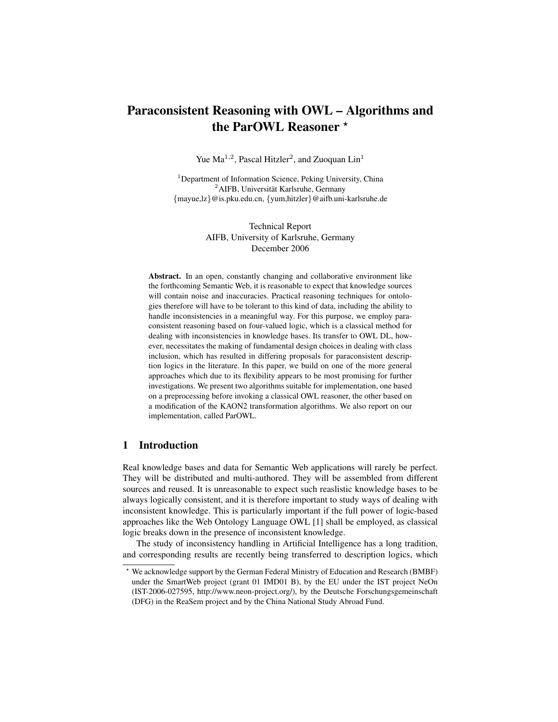# Paraconsistent Reasoning with OWL – Algorithms and the ParOWL Reasoner \*

Yue  $Ma^{1,2}$ , Pascal Hitzler<sup>2</sup>, and Zuoquan Lin<sup>1</sup>

<sup>1</sup>Department of Information Science, Peking University, China <sup>2</sup> AIFB, Universität Karlsruhe, Germany {mayue,lz}@is.pku.edu.cn, {yum,hitzler}@aifb.uni-karlsruhe.de

> Technical Report AIFB, University of Karlsruhe, Germany December 2006

Abstract. In an open, constantly changing and collaborative environment like the forthcoming Semantic Web, it is reasonable to expect that knowledge sources will contain noise and inaccuracies. Practical reasoning techniques for ontologies therefore will have to be tolerant to this kind of data, including the ability to handle inconsistencies in a meaningful way. For this purpose, we employ paraconsistent reasoning based on four-valued logic, which is a classical method for dealing with inconsistencies in knowledge bases. Its transfer to OWL DL, however, necessitates the making of fundamental design choices in dealing with class inclusion, which has resulted in differing proposals for paraconsistent description logics in the literature. In this paper, we build on one of the more general approaches which due to its flexibility appears to be most promising for further investigations. We present two algorithms suitable for implementation, one based on a preprocessing before invoking a classical OWL reasoner, the other based on a modification of the KAON2 transformation algorithms. We also report on our implementation, called ParOWL.

## 1 Introduction

Real knowledge bases and data for Semantic Web applications will rarely be perfect. They will be distributed and multi-authored. They will be assembled from different sources and reused. It is unreasonable to expect such reaslistic knowledge bases to be always logically consistent, and it is therefore important to study ways of dealing with inconsistent knowledge. This is particularly important if the full power of logic-based approaches like the Web Ontology Language OWL [1] shall be employed, as classical logic breaks down in the presence of inconsistent knowledge.

The study of inconsistency handling in Artificial Intelligence has a long tradition, and corresponding results are recently being transferred to description logics, which

<sup>?</sup> We acknowledge support by the German Federal Ministry of Education and Research (BMBF) under the SmartWeb project (grant 01 IMD01 B), by the EU under the IST project NeOn (IST-2006-027595, http://www.neon-project.org/), by the Deutsche Forschungsgemeinschaft (DFG) in the ReaSem project and by the China National Study Abroad Fund.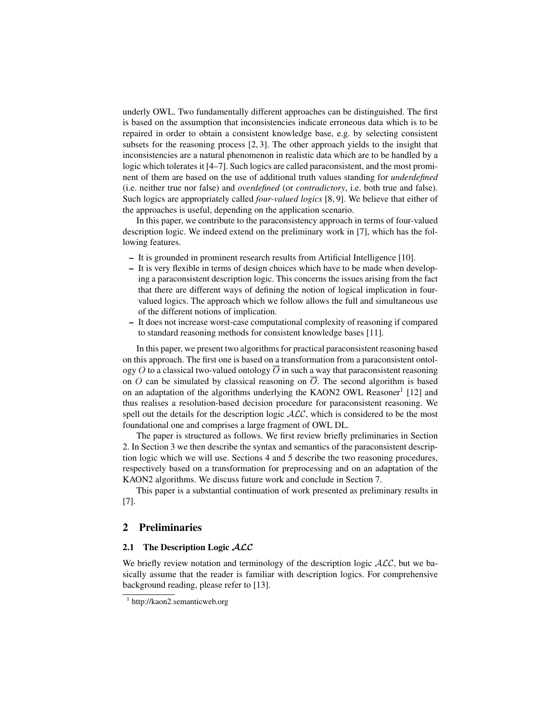underly OWL. Two fundamentally different approaches can be distinguished. The first is based on the assumption that inconsistencies indicate erroneous data which is to be repaired in order to obtain a consistent knowledge base, e.g. by selecting consistent subsets for the reasoning process [2, 3]. The other approach yields to the insight that inconsistencies are a natural phenomenon in realistic data which are to be handled by a logic which tolerates it [4–7]. Such logics are called paraconsistent, and the most prominent of them are based on the use of additional truth values standing for *underdefined* (i.e. neither true nor false) and *overdefined* (or *contradictory*, i.e. both true and false). Such logics are appropriately called *four-valued logics* [8, 9]. We believe that either of the approaches is useful, depending on the application scenario.

In this paper, we contribute to the paraconsistency approach in terms of four-valued description logic. We indeed extend on the preliminary work in [7], which has the following features.

- It is grounded in prominent research results from Artificial Intelligence [10].
- It is very flexible in terms of design choices which have to be made when developing a paraconsistent description logic. This concerns the issues arising from the fact that there are different ways of defining the notion of logical implication in fourvalued logics. The approach which we follow allows the full and simultaneous use of the different notions of implication.
- It does not increase worst-case computational complexity of reasoning if compared to standard reasoning methods for consistent knowledge bases [11].

In this paper, we present two algorithms for practical paraconsistent reasoning based on this approach. The first one is based on a transformation from a paraconsistent ontology O to a classical two-valued ontology  $\overline{O}$  in such a way that paraconsistent reasoning on O can be simulated by classical reasoning on  $\overline{O}$ . The second algorithm is based on an adaptation of the algorithms underlying the KAON2 OWL Reasoner<sup>1</sup> [12] and thus realises a resolution-based decision procedure for paraconsistent reasoning. We spell out the details for the description logic  $ALC$ , which is considered to be the most foundational one and comprises a large fragment of OWL DL.

The paper is structured as follows. We first review briefly preliminaries in Section 2. In Section 3 we then describe the syntax and semantics of the paraconsistent description logic which we will use. Sections 4 and 5 describe the two reasoning procedures, respectively based on a transformation for preprocessing and on an adaptation of the KAON2 algorithms. We discuss future work and conclude in Section 7.

This paper is a substantial continuation of work presented as preliminary results in [7].

### 2 Preliminaries

### 2.1 The Description Logic  $ALC$

We briefly review notation and terminology of the description logic  $ALC$ , but we basically assume that the reader is familiar with description logics. For comprehensive background reading, please refer to [13].

<sup>1</sup> http://kaon2.semanticweb.org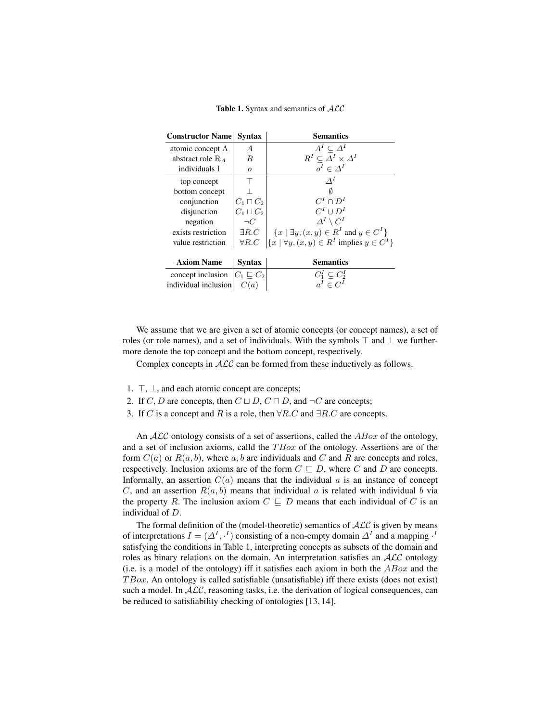Table 1. Syntax and semantics of  $ALC$ 

| <b>Constructor Name</b>    | <b>Syntax</b>       | <b>Semantics</b>                                                  |
|----------------------------|---------------------|-------------------------------------------------------------------|
| atomic concept A           | A                   | $A^I \subseteq \Delta^I$                                          |
| abstract role $\rm{R}_{4}$ | R.                  | $R^I \subseteq \Delta^I \times \Delta^I$                          |
| individuals I              | $\boldsymbol{o}$    | $o^I \in \Delta^I$                                                |
| top concept                |                     | $\Delta^I$                                                        |
| bottom concept             |                     |                                                                   |
| conjunction                | $C_1 \sqcap C_2$    | $C^I \cap D^I$                                                    |
| disjunction                | $C_1 \sqcup C_2$    | $C^I \cup D^I$                                                    |
| negation                   | $\neg C$            | $\varDelta^I\setminus C^I$                                        |
| exists restriction         | $\exists R.C \;  $  | $\{x \mid \exists y, (x, y) \in R^I \text{ and } y \in C^I\}$     |
| value restriction          | $\forall R.C$       | $\{x \mid \forall y, (x, y) \in R^I \text{ implies } y \in C^I\}$ |
|                            |                     |                                                                   |
| <b>Axiom Name</b>          | <b>Syntax</b>       | <b>Semantics</b>                                                  |
| concept inclusion          | $C_1 \sqsubset C_2$ | $C_1^I \subseteq C_2^I$                                           |
| individual inclusion       | C(a)                | $a^I \in C^I$                                                     |

We assume that we are given a set of atomic concepts (or concept names), a set of roles (or role names), and a set of individuals. With the symbols  $\top$  and  $\bot$  we furthermore denote the top concept and the bottom concept, respectively.

Complex concepts in ALC can be formed from these inductively as follows.

- 1.  $\top$ ,  $\bot$ , and each atomic concept are concepts;
- 2. If C, D are concepts, then  $C \sqcup D$ ,  $C \sqcap D$ , and  $\neg C$  are concepts;
- 3. If C is a concept and R is a role, then  $\forall R.C$  and  $\exists R.C$  are concepts.

An  $ALC$  ontology consists of a set of assertions, called the  $ABox$  of the ontology, and a set of inclusion axioms, calld the  $TBox$  of the ontology. Assertions are of the form  $C(a)$  or  $R(a, b)$ , where a, b are individuals and C and R are concepts and roles, respectively. Inclusion axioms are of the form  $C \subseteq D$ , where C and D are concepts. Informally, an assertion  $C(a)$  means that the individual a is an instance of concept C, and an assertion  $R(a, b)$  means that individual a is related with individual b via the property R. The inclusion axiom  $C \subseteq D$  means that each individual of C is an individual of D.

The formal definition of the (model-theoretic) semantics of  $\mathcal{ALC}$  is given by means of interpretations  $I = (\Delta^I, \cdot^I)$  consisting of a non-empty domain  $\Delta^I$  and a mapping  $\cdot^I$ satisfying the conditions in Table 1, interpreting concepts as subsets of the domain and roles as binary relations on the domain. An interpretation satisfies an  $ALC$  ontology (i.e. is a model of the ontology) iff it satisfies each axiom in both the  $ABox$  and the  $TBox$ . An ontology is called satisfiable (unsatisfiable) iff there exists (does not exist) such a model. In  $ALC$ , reasoning tasks, i.e. the derivation of logical consequences, can be reduced to satisfiability checking of ontologies [13, 14].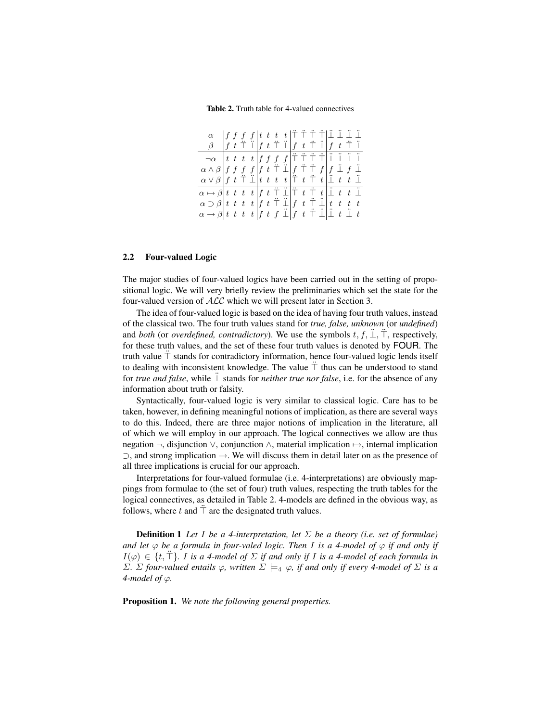Table 2. Truth table for 4-valued connectives

| $\begin{array}{c c c c c c c c} \alpha & f & f & f & f & t & t & t & \mid \stackrel{\leftarrow}{\textbf{1}} & \stackrel{\leftarrow}{\textbf{1}} & \stackrel{\leftarrow}{\textbf{1}} & \stackrel{\leftarrow}{\textbf{1}} & \stackrel{\leftarrow}{\textbf{1}} & \stackrel{\leftarrow}{\textbf{1}} & \stackrel{\leftarrow}{\textbf{1}} & \stackrel{\leftarrow}{\textbf{1}} & \stackrel{\leftarrow}{\textbf{1}} & \stackrel{\leftarrow}{\textbf{1}} & \stackrel{\leftarrow}{\textbf{1}} & \stackrel{\leftarrow}{\textbf{1}} & \stackrel{\leftarrow}{\textbf{1$                          |  |  |  |  |  |  |  |  |
|-------------------------------------------------------------------------------------------------------------------------------------------------------------------------------------------------------------------------------------------------------------------------------------------------------------------------------------------------------------------------------------------------------------------------------------------------------------------------------------------------------------------------------------------------------------------------------------|--|--|--|--|--|--|--|--|
|                                                                                                                                                                                                                                                                                                                                                                                                                                                                                                                                                                                     |  |  |  |  |  |  |  |  |
|                                                                                                                                                                                                                                                                                                                                                                                                                                                                                                                                                                                     |  |  |  |  |  |  |  |  |
|                                                                                                                                                                                                                                                                                                                                                                                                                                                                                                                                                                                     |  |  |  |  |  |  |  |  |
|                                                                                                                                                                                                                                                                                                                                                                                                                                                                                                                                                                                     |  |  |  |  |  |  |  |  |
| $\label{eq:2} \begin{array}{c c c c c c c c} \hline \alpha\mapsto \beta & t\;\; t\;\; t\;\; t & f\;\; t\;\stackrel{\scriptscriptstyle\top}{\leftarrow}\; \stackrel{\scriptscriptstyle\top}{\leftarrow}\; \stackrel{\scriptscriptstyle\top}{\leftarrow}\; \stackrel{\scriptscriptstyle\top}{\leftarrow}\; t\;\; t\;\; t & \stackrel{\scriptscriptstyle\top}{\leftarrow}\; t & \stackrel{\scriptscriptstyle\top}{\leftarrow}\; \stackrel{\scriptscriptstyle\top}{\leftarrow}\; t & t & t & t\\ \alpha\mapsto \beta & t\;\; t\;\; t & f\;\; t & f\;\stackrel{\scriptscriptstyle\top}{$ |  |  |  |  |  |  |  |  |
|                                                                                                                                                                                                                                                                                                                                                                                                                                                                                                                                                                                     |  |  |  |  |  |  |  |  |
|                                                                                                                                                                                                                                                                                                                                                                                                                                                                                                                                                                                     |  |  |  |  |  |  |  |  |

### 2.2 Four-valued Logic

The major studies of four-valued logics have been carried out in the setting of propositional logic. We will very briefly review the preliminaries which set the state for the four-valued version of ALC which we will present later in Section 3.

The idea of four-valued logic is based on the idea of having four truth values, instead of the classical two. The four truth values stand for *true, false, unknown* (or *undefined*) and *both* (or *overdefined, contradictory*). We use the symbols  $t, f, \perp, \perp, \perp$ , respectively, for these truth values, and the set of these four truth values is denoted by FOUR. The truth value  $\top$  stands for contradictory information, hence four-valued logic lends itself to dealing with inconsistent knowledge. The value  $\top$  thus can be understood to stand for *true and false*, while ⊥¨ stands for *neither true nor false*, i.e. for the absence of any information about truth or falsity.

Syntactically, four-valued logic is very similar to classical logic. Care has to be taken, however, in defining meaningful notions of implication, as there are several ways to do this. Indeed, there are three major notions of implication in the literature, all of which we will employ in our approach. The logical connectives we allow are thus negation  $\neg$ , disjunction  $\vee$ , conjunction  $\wedge$ , material implication  $\rightarrow$ , internal implication  $\supset$ , and strong implication  $\rightarrow$ . We will discuss them in detail later on as the presence of all three implications is crucial for our approach.

Interpretations for four-valued formulae (i.e. 4-interpretations) are obviously mappings from formulae to (the set of four) truth values, respecting the truth tables for the logical connectives, as detailed in Table 2. 4-models are defined in the obvious way, as follows, where t and  $\ddot{\top}$  are the designated truth values.

**Definition 1** *Let I be a 4-interpretation, let*  $\Sigma$  *be a theory (i.e. set of formulae) and let*  $\varphi$  *be a formula in four-valed logic. Then I is a 4-model of*  $\varphi$  *if and only if*  $I(\varphi) \in \{t, \dot{\top}\}\$ . *I is a 4-model of*  $\Sigma$  *if and only if I is a 4-model of each formula in Σ. Σ four-valued entails*  $\varphi$ *, written Σ*  $\models_4$   $\varphi$ *, if and only if every 4-model of Σ is a 4-model of*  $\varphi$ *.* 

Proposition 1. *We note the following general properties.*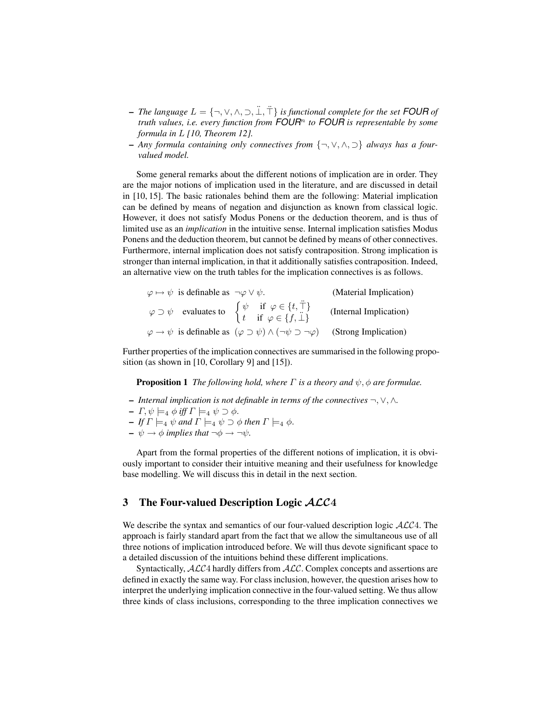- $\overline{P}$   *The language*  $L = \{\neg, \vee, \wedge, \supset, \bot, \top\}$  *is functional complete for the set FOUR of truth values, i.e. every function from FOUR<sup>n</sup> to FOUR is representable by some formula in* L *[10, Theorem 12].*
- *Any formula containing only connectives from* {¬,∨,∧, ⊃} *always has a fourvalued model.*

Some general remarks about the different notions of implication are in order. They are the major notions of implication used in the literature, and are discussed in detail in [10, 15]. The basic rationales behind them are the following: Material implication can be defined by means of negation and disjunction as known from classical logic. However, it does not satisfy Modus Ponens or the deduction theorem, and is thus of limited use as an *implication* in the intuitive sense. Internal implication satisfies Modus Ponens and the deduction theorem, but cannot be defined by means of other connectives. Furthermore, internal implication does not satisfy contraposition. Strong implication is stronger than internal implication, in that it additionally satisfies contraposition. Indeed, an alternative view on the truth tables for the implication connectives is as follows.

| $\varphi \mapsto \psi$ is definable as $\neg \varphi \vee \psi$ . |                                                                                                                             | (Material Implication) |
|-------------------------------------------------------------------|-----------------------------------------------------------------------------------------------------------------------------|------------------------|
| $\varphi \supset \psi$ evaluates to                               | $\begin{cases} \psi & \text{if } \varphi \in \{t, \dot{\top}\} \\ t & \text{if } \varphi \in \{f, \dot{\bot}\} \end{cases}$ | (Internal Implication) |
|                                                                   | $\varphi \to \psi$ is definable as $(\varphi \supset \psi) \land (\neg \psi \supset \neg \varphi)$ (Strong Implication)     |                        |

Further properties of the implication connectives are summarised in the following proposition (as shown in [10, Corollary 9] and [15]).

Proposition 1 *The following hold, where* Γ *is a theory and* ψ, φ *are formulae.*

- *Internal implication is not definable in terms of the connectives* ¬,∨,∧*.*
- $-\Gamma, \psi \models_4 \phi \text{ iff } \Gamma \models_4 \psi \supset \phi.$
- $-If\Gamma \models_4 \psi$  and  $\Gamma \models_4 \psi \supset \phi$  then  $\Gamma \models_4 \phi$ .
- $\psi \rightarrow \phi$  *implies that*  $\neg \phi \rightarrow \neg \psi$ *.*

Apart from the formal properties of the different notions of implication, it is obviously important to consider their intuitive meaning and their usefulness for knowledge base modelling. We will discuss this in detail in the next section.

### 3 The Four-valued Description Logic ACC4

We describe the syntax and semantics of our four-valued description logic  $ALC4$ . The approach is fairly standard apart from the fact that we allow the simultaneous use of all three notions of implication introduced before. We will thus devote significant space to a detailed discussion of the intuitions behind these different implications.

Syntactically, ALC4 hardly differs from ALC. Complex concepts and assertions are defined in exactly the same way. For class inclusion, however, the question arises how to interpret the underlying implication connective in the four-valued setting. We thus allow three kinds of class inclusions, corresponding to the three implication connectives we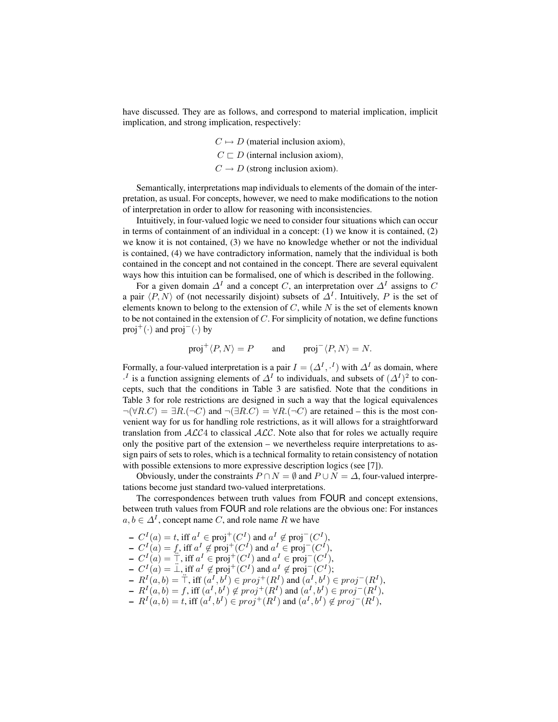have discussed. They are as follows, and correspond to material implication, implicit implication, and strong implication, respectively:

 $C \mapsto D$  (material inclusion axiom),

 $C \sqsubset D$  (internal inclusion axiom),

 $C \rightarrow D$  (strong inclusion axiom).

Semantically, interpretations map individuals to elements of the domain of the interpretation, as usual. For concepts, however, we need to make modifications to the notion of interpretation in order to allow for reasoning with inconsistencies.

Intuitively, in four-valued logic we need to consider four situations which can occur in terms of containment of an individual in a concept:  $(1)$  we know it is contained,  $(2)$ we know it is not contained, (3) we have no knowledge whether or not the individual is contained, (4) we have contradictory information, namely that the individual is both contained in the concept and not contained in the concept. There are several equivalent ways how this intuition can be formalised, one of which is described in the following.

For a given domain  $\Delta^I$  and a concept C, an interpretation over  $\Delta^I$  assigns to C a pair  $\langle P, N \rangle$  of (not necessarily disjoint) subsets of  $\Delta^I$ . Intuitively, P is the set of elements known to belong to the extension of  $C$ , while  $N$  is the set of elements known to be not contained in the extension of C. For simplicity of notation, we define functions proj<sup>+</sup>(·) and proj<sup>-</sup>(·) by

$$
proj^+ \langle P, N \rangle = P
$$
 and  $proj^- \langle P, N \rangle = N$ .

Formally, a four-valued interpretation is a pair  $I = (\Delta^I, \cdot^I)$  with  $\Delta^I$  as domain, where <sup>I</sup> is a function assigning elements of  $\Delta^I$  to individuals, and subsets of  $(\Delta^I)^2$  to concepts, such that the conditions in Table 3 are satisfied. Note that the conditions in Table 3 for role restrictions are designed in such a way that the logical equivalences  $\neg(\forall R.C) = \exists R.(\neg C)$  and  $\neg(\exists R.C) = \forall R.(\neg C)$  are retained – this is the most convenient way for us for handling role restrictions, as it will allows for a straightforward translation from  $ALC4$  to classical  $ALC$ . Note also that for roles we actually require only the positive part of the extension – we nevertheless require interpretations to assign pairs of sets to roles, which is a technical formality to retain consistency of notation with possible extensions to more expressive description logics (see [7]).

Obviously, under the constraints  $P \cap N = \emptyset$  and  $P \cup N = \Delta$ , four-valued interpretations become just standard two-valued interpretations.

The correspondences between truth values from FOUR and concept extensions, between truth values from FOUR and role relations are the obvious one: For instances  $a, b \in \Delta^I$ , concept name C, and role name R we have

\n- \n
$$
C^I(a) = t
$$
, iff  $a^I \in \text{proj}^+(C^I)$  and  $a^I \notin \text{proj}^-(C^I)$ ,\n
\n- \n $C^I(a) = f$ , iff  $a^I \notin \text{proj}^+(C^I)$  and  $a^I \in \text{proj}^-(C^I)$ ,\n
\n- \n $C^I(a) = \top$ , iff  $a^I \in \text{proj}^+(C^I)$  and  $a^I \in \text{proj}^-(C^I)$ ,\n
\n- \n $C^I(a) = \bot$ , iff  $a^I \notin \text{proj}^+(C^I)$  and  $a^I \notin \text{proj}^-(C^I)$ ;\n
\n- \n $R^I(a, b) = \top$ , iff  $(a^I, b^I) \in \text{proj}^+(R^I)$  and  $(a^I, b^I) \in \text{proj}^-(R^I)$ ,\n
\n- \n $R^I(a, b) = f$ , iff  $(a^I, b^I) \notin \text{proj}^+(R^I)$  and  $(a^I, b^I) \in \text{proj}^-(R^I)$ ,\n
\n- \n $R^I(a, b) = t$ , iff  $(a^I, b^I) \in \text{proj}^+(R^I)$  and  $(a^I, b^I) \notin \text{proj}^-(R^I)$ ,\n
\n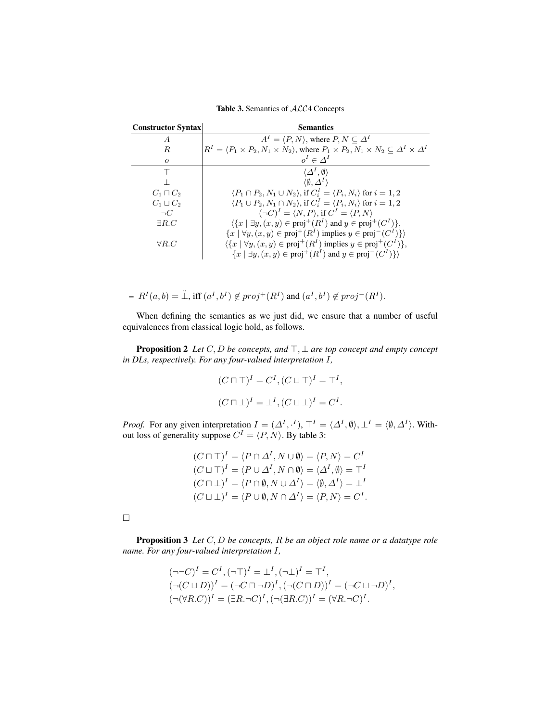| <b>Constructor Syntax</b> | <b>Semantics</b>                                                                                                                   |
|---------------------------|------------------------------------------------------------------------------------------------------------------------------------|
| A                         | $A^I = \langle P, N \rangle$ , where $P, N \subseteq \Delta^I$                                                                     |
| R                         | $R^I = \langle P_1 \times P_2, N_1 \times N_2 \rangle$ , where $P_1 \times P_2, N_1 \times N_2 \subseteq \Delta^I \times \Delta^I$ |
| $\Omega$                  | $o^I \in \Lambda^I$                                                                                                                |
|                           | $\langle \Delta^I, \emptyset \rangle$                                                                                              |
|                           | $\langle \emptyset, \Delta^I \rangle$                                                                                              |
| $C_1 \sqcap C_2$          | $\langle P_1 \cap P_2, N_1 \cup N_2 \rangle$ , if $C_i^I = \langle P_i, N_i \rangle$ for $i = 1, 2$                                |
| $C_1 \sqcup C_2$          | $\langle P_1 \cup P_2, N_1 \cap N_2 \rangle$ , if $C_i^I = \langle P_i, N_i \rangle$ for $i = 1, 2$                                |
| $\neg C$                  | $(\neg C)^{I} = \langle N, P \rangle$ , if $C^{I} = \langle P, N \rangle$                                                          |
| $\exists R.C$             | $\langle \{x \mid \exists y, (x, y) \in \text{proj}^+(R^I) \text{ and } y \in \text{proj}^+(C^I) \},\$                             |
|                           | $\{x \mid \forall y, (x, y) \in \text{proj}^+(R^I) \text{ implies } y \in \text{proj}^-(C^I)\}\$                                   |
| $\forall R.C$             | $\langle \{x \mid \forall y, (x, y) \in \text{proj}^+(R^I) \text{ implies } y \in \text{proj}^+(C^I) \},\$                         |
|                           | $\{x \mid \exists y, (x, y) \in \text{proj}^+(R^I) \text{ and } y \in \text{proj}^-(C^I)\}\$                                       |

Table 3. Semantics of  $ALC4$  Concepts

$$
- RI(a, b) = \mathcal{L}, \text{ iff } (aI, bI) \notin proj+(RI) \text{ and } (aI, bI) \notin proj-(RI).
$$

When defining the semantics as we just did, we ensure that a number of useful equivalences from classical logic hold, as follows.

**Proposition 2** *Let*  $C$ ,  $D$  *be concepts, and*  $\top$ ,  $\bot$  *are top concept and empty concept in DLs, respectively. For any four-valued interpretation* I*,*

$$
(C \sqcap \top)^{I} = C^{I}, (C \sqcup \top)^{I} = \top^{I},
$$

$$
(C \sqcap \bot)^{I} = \bot^{I}, (C \sqcup \bot)^{I} = C^{I}.
$$

*Proof.* For any given interpretation  $I = (\Delta^I, \cdot^I), \top^I = \langle \Delta^I, \emptyset \rangle, \bot^I = \langle \emptyset, \Delta^I \rangle$ . Without loss of generality suppose  $C^I = \langle P, N \rangle$ . By table 3:

$$
(C \sqcap \top)^{I} = \langle P \cap \Delta^{I}, N \cup \emptyset \rangle = \langle P, N \rangle = C^{I}
$$

$$
(C \sqcup \top)^{I} = \langle P \cup \Delta^{I}, N \cap \emptyset \rangle = \langle \Delta^{I}, \emptyset \rangle = \top^{I}
$$

$$
(C \sqcap \bot)^{I} = \langle P \cap \emptyset, N \cup \Delta^{I} \rangle = \langle \emptyset, \Delta^{I} \rangle = \bot^{I}
$$

$$
(C \sqcup \bot)^{I} = \langle P \cup \emptyset, N \cap \Delta^{I} \rangle = \langle P, N \rangle = C^{I}.
$$

Proposition 3 *Let* C, D *be concepts,* R *be an object role name or a datatype role name. For any four-valued interpretation* I*,*

$$
(\neg\neg C)^{I} = C^{I}, (\neg\top)^{I} = \bot^{I}, (\neg\bot)^{I} = \top^{I},
$$
  

$$
(\neg(C \sqcup D))^{I} = (\neg C \sqcap \neg D)^{I}, (\neg(C \sqcap D))^{I} = (\neg C \sqcup \neg D)^{I},
$$
  

$$
(\neg(\forall R.C))^{I} = (\exists R.\neg C)^{I}, (\neg(\exists R.C))^{I} = (\forall R.\neg C)^{I}.
$$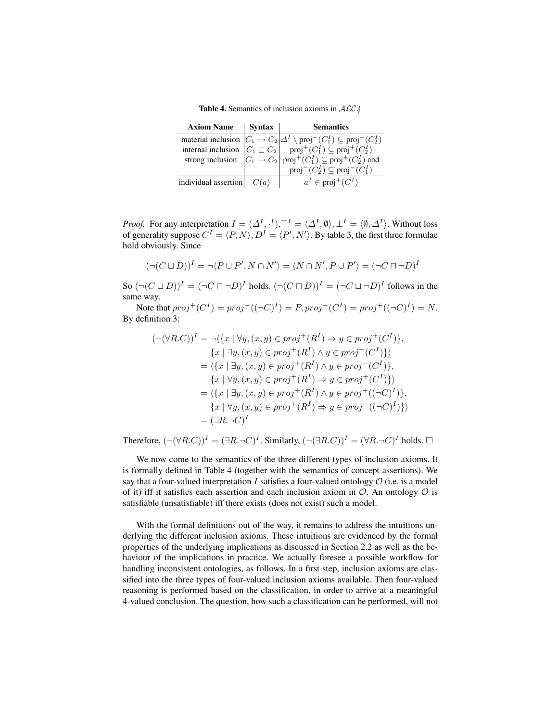**Table 4.** Semantics of inclusion axioms in  $ALC4$ 

| Axiom Name   Syntax                                       | <b>Semantics</b>                                                                                                                                                                                                                                                                                                                                                                                                      |
|-----------------------------------------------------------|-----------------------------------------------------------------------------------------------------------------------------------------------------------------------------------------------------------------------------------------------------------------------------------------------------------------------------------------------------------------------------------------------------------------------|
|                                                           | $\begin{tabular}{l c c c} \hline material inclusion & $C_1 \mapsto C_2$ & $\Delta^I \setminus \text{proj}^-(C_1^I) \subseteq \text{proj}^+(C_2^I)$ \\ internal inclusion & $C_1 \sqsubset C_2$ & $proj^+(C_1^I) \subseteq \text{proj}^+(C_2^I)$ \\ strong inclusion & $C_1 \to C_2$ & $proj^+(C_1^I) \subseteq \text{proj}^+(C_2^I)$ and \\ & $proj^-(C_2^I) \subseteq \text{proj}^-(C_1^I)$ \\ \hline \end{tabular}$ |
|                                                           |                                                                                                                                                                                                                                                                                                                                                                                                                       |
|                                                           |                                                                                                                                                                                                                                                                                                                                                                                                                       |
|                                                           |                                                                                                                                                                                                                                                                                                                                                                                                                       |
| individual assertion $\begin{bmatrix} C(a) \end{bmatrix}$ | $a^I \in \text{proj}^+(C^I)$                                                                                                                                                                                                                                                                                                                                                                                          |

*Proof.* For any interpretation  $I = (\Delta^I, \cdot^I), T^I = (\Delta^I, \emptyset), \perp^I = (\emptyset, \Delta^I)$ . Without loss of generality suppose  $C^I = \langle P, N \rangle, D^I = \langle P', N' \rangle$ . By table 3, the first three formulae hold obviously. Since

$$
(\neg(C \sqcup D))^I = \neg(P \cup P', N \cap N') = \langle N \cap N', P \cup P' \rangle = (\neg C \sqcap \neg D)^I
$$

So  $(\neg(C \sqcup D))^I = (\neg C \sqcap \neg D)^I$  holds.  $(\neg(C \sqcap D))^I = (\neg C \sqcup \neg D)^I$  follows in the same way.

Note that  $proj^+(C^I) = proj^-((\neg C)^I) = P, proj^- (C^I) = proj^+((\neg C)^I) = N.$ By definition 3:

$$
(\neg(\forall R.C))^I = \neg(\lbrace x \mid \forall y, (x, y) \in proj^+(R^I) \Rightarrow y \in proj^+(C^I) \rbrace,\lbrace x \mid \exists y, (x, y) \in proj^+(R^I) \land y \in proj^-(C^I) \rbrace= \langle \lbrace x \mid \exists y, (x, y) \in proj^+(R^I) \land y \in proj^-(C^I) \rbrace,\lbrace x \mid \forall y, (x, y) \in proj^+(R^I) \Rightarrow y \in proj^+(C^I) \rbrace= \langle \lbrace x \mid \exists y, (x, y) \in proj^+(R^I) \land y \in proj^+((\neg C)^I) \rbrace,\lbrace x \mid \forall y, (x, y) \in proj^+(R^I) \Rightarrow y \in proj^-((-C)^I) \rbrace= (\exists R.\neg C)^I
$$

Therefore,  $(\neg(\forall R.C))^I = (\exists R.\neg C)^I$ . Similarly,  $(\neg(\exists R.C))^I = (\forall R.\neg C)^I$  holds.  $\Box$ 

We now come to the semantics of the three different types of inclusion axioms. It is formally defined in Table 4 (together with the semantics of concept assertions). We say that a four-valued interpretation I satisfies a four-valued ontology  $\mathcal O$  (i.e. is a model of it) iff it satisfies each assertion and each inclusion axiom in  $\mathcal{O}$ . An ontology  $\mathcal O$  is satisfiable (unsatisfiable) iff there exists (does not exist) such a model.

With the formal definitions out of the way, it remains to address the intuitions underlying the different inclusion axioms. These intuitions are evidenced by the formal properties of the underlying implications as discussed in Section 2.2 as well as the behaviour of the implications in practice. We actually foresee a possible workflow for handling inconsistent ontologies, as follows. In a first step, inclusion axioms are classified into the three types of four-valued inclusion axioms available. Then four-valued reasoning is performed based on the classification, in order to arrive at a meaningful 4-valued conclusion. The question, how such a classification can be performed, will not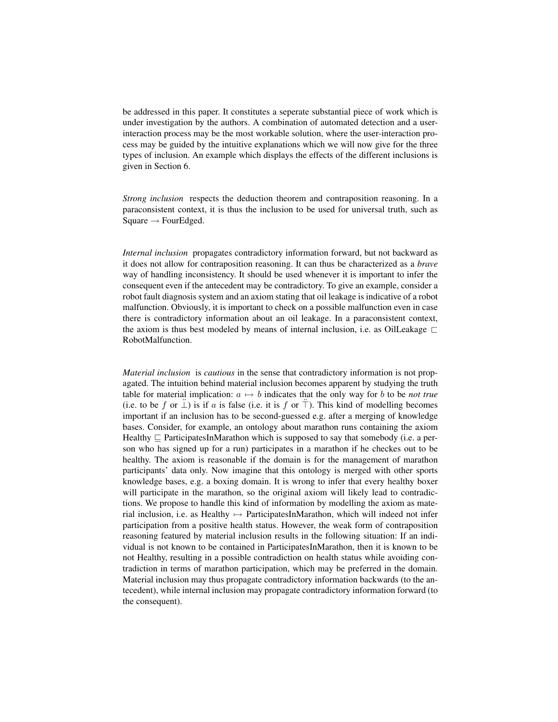be addressed in this paper. It constitutes a seperate substantial piece of work which is under investigation by the authors. A combination of automated detection and a userinteraction process may be the most workable solution, where the user-interaction process may be guided by the intuitive explanations which we will now give for the three types of inclusion. An example which displays the effects of the different inclusions is given in Section 6.

*Strong inclusion* respects the deduction theorem and contraposition reasoning. In a paraconsistent context, it is thus the inclusion to be used for universal truth, such as  $Square \rightarrow FourEdge.$ 

*Internal inclusion* propagates contradictory information forward, but not backward as it does not allow for contraposition reasoning. It can thus be characterized as a *brave* way of handling inconsistency. It should be used whenever it is important to infer the consequent even if the antecedent may be contradictory. To give an example, consider a robot fault diagnosis system and an axiom stating that oil leakage is indicative of a robot malfunction. Obviously, it is important to check on a possible malfunction even in case there is contradictory information about an oil leakage. In a paraconsistent context, the axiom is thus best modeled by means of internal inclusion, i.e. as OilLeakage  $\Box$ RobotMalfunction.

*Material inclusion* is *cautious* in the sense that contradictory information is not propagated. The intuition behind material inclusion becomes apparent by studying the truth table for material implication:  $a \mapsto b$  indicates that the only way for b to be *not true* (i.e. to be f or  $\perp$ ) is if a is false (i.e. it is f or  $\perp$ ). This kind of modelling becomes important if an inclusion has to be second-guessed e.g. after a merging of knowledge bases. Consider, for example, an ontology about marathon runs containing the axiom Healthy  $\Box$  ParticipatesInMarathon which is supposed to say that somebody (i.e. a person who has signed up for a run) participates in a marathon if he checkes out to be healthy. The axiom is reasonable if the domain is for the management of marathon participants' data only. Now imagine that this ontology is merged with other sports knowledge bases, e.g. a boxing domain. It is wrong to infer that every healthy boxer will participate in the marathon, so the original axiom will likely lead to contradictions. We propose to handle this kind of information by modelling the axiom as material inclusion, i.e. as Healthy  $\mapsto$  ParticipatesInMarathon, which will indeed not infer participation from a positive health status. However, the weak form of contraposition reasoning featured by material inclusion results in the following situation: If an individual is not known to be contained in ParticipatesInMarathon, then it is known to be not Healthy, resulting in a possible contradiction on health status while avoiding contradiction in terms of marathon participation, which may be preferred in the domain. Material inclusion may thus propagate contradictory information backwards (to the antecedent), while internal inclusion may propagate contradictory information forward (to the consequent).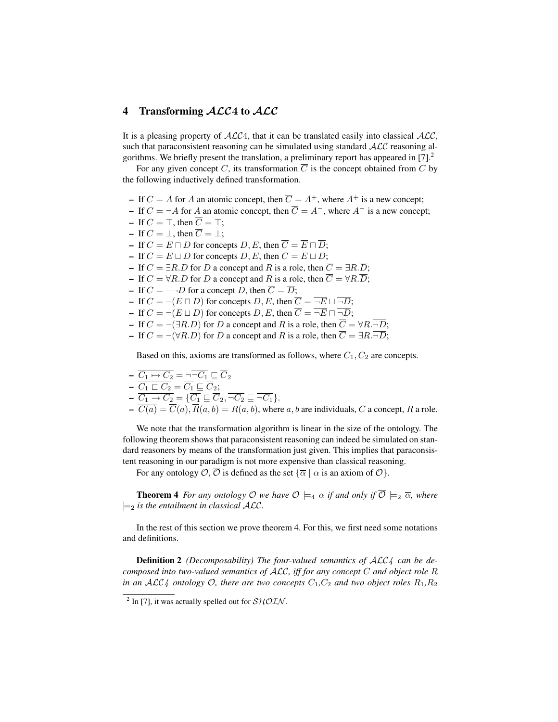## 4 Transforming  $\mathcal{ALC}4$  to  $\mathcal{ALC}$

It is a pleasing property of  $ALC4$ , that it can be translated easily into classical  $ALC$ , such that paraconsistent reasoning can be simulated using standard  $ALC$  reasoning algorithms. We briefly present the translation, a preliminary report has appeared in [7].<sup>2</sup>

For any given concept C, its transformation  $\overline{C}$  is the concept obtained from C by the following inductively defined transformation.

- If  $C = A$  for A an atomic concept, then  $\overline{C} = A^+$ , where  $A^+$  is a new concept;
- If  $C = \neg A$  for A an atomic concept, then  $\overline{C} = A^-$ , where  $A^-$  is a new concept;
- If  $C = \top$ , then  $\overline{C} = \top$ ;
- If  $C = \perp$ , then  $\overline{C} = \perp$ ;
- If  $C = E \sqcap D$  for concepts D, E, then  $\overline{C} = \overline{E} \sqcap \overline{D}$ ;
- If  $C = E \sqcup D$  for concepts  $D, E$ , then  $\overline{C} = \overline{E} \sqcup \overline{D}$ ;
- If  $C = \exists R.D$  for D a concept and R is a role, then  $\overline{C} = \exists R.\overline{D}$ ;
- If  $C = \forall R.D$  for D a concept and R is a role, then  $\overline{C} = \forall R.\overline{D}$ ;
- If  $C = \neg \neg D$  for a concept D, then  $\overline{C} = \overline{D}$ ;
- If  $C = \neg(E \sqcap D)$  for concepts D, E, then  $\overline{C} = \overline{\neg E} \sqcup \overline{\neg D}$ ;
- If  $C = \neg(E \sqcup D)$  for concepts D, E, then  $\overline{C} = \overline{\neg E} \sqcap \overline{\neg D}$ ;
- If  $C = \neg (\exists R.D)$  for D a concept and R is a role, then  $\overline{C} = \forall R.\overline{\neg D}$ ;
- If  $C = \neg(\forall R.D)$  for D a concept and R is a role, then  $\overline{C} = \exists R.\overline{\neg D}$ ;

Based on this, axioms are transformed as follows, where  $C_1, C_2$  are concepts.

$$
- \overline{C_1 \mapsto C_2} = \overline{-C_1} \sqsubseteq \overline{C_2}
$$
  
\n
$$
- \overline{C_1 \sqsubseteq C_2} = \overline{C_1} \sqsubseteq \overline{C_2};
$$
  
\n
$$
- \overline{C_1 \rightarrow C_2} = \{\overline{C_1} \sqsubseteq \overline{C_2}, \overline{\neg C_2} \sqsubseteq \overline{\neg C_1}\}.
$$
  
\n
$$
- \overline{C(a)} = \overline{C(a)}, \overline{R(a, b)} = R(a, b), \text{ where } a, b \text{ are individuals, } C \text{ a concept, } R \text{ a role.}
$$

We note that the transformation algorithm is linear in the size of the ontology. The following theorem shows that paraconsistent reasoning can indeed be simulated on standard reasoners by means of the transformation just given. This implies that paraconsistent reasoning in our paradigm is not more expensive than classical reasoning.

For any ontology  $\mathcal{O}, \overline{\mathcal{O}}$  is defined as the set  $\{\overline{\alpha} \mid \alpha \text{ is an axiom of } \mathcal{O}\}.$ 

**Theorem 4** *For any ontology*  $\mathcal{O}$  *we have*  $\mathcal{O} \models_4 \alpha$  *if and only if*  $\overline{\mathcal{O}} \models_2 \overline{\alpha}$ *, where*  $\models$ <sub>2</sub> is the entailment in classical ALC.

In the rest of this section we prove theorem 4. For this, we first need some notations and definitions.

**Definition 2** *(Decomposability)* The four-valued semantics of ALC4 can be de*composed into two-valued semantics of* ALC*, iff for any concept* C *and object role* R *in an*  $ALC_4$  *ontology*  $O$ *, there are two concepts*  $C_1$ ,  $C_2$  *and two object roles*  $R_1$ ,  $R_2$ 

<sup>&</sup>lt;sup>2</sup> In [7], it was actually spelled out for  $\mathcal{SHOIN}$ .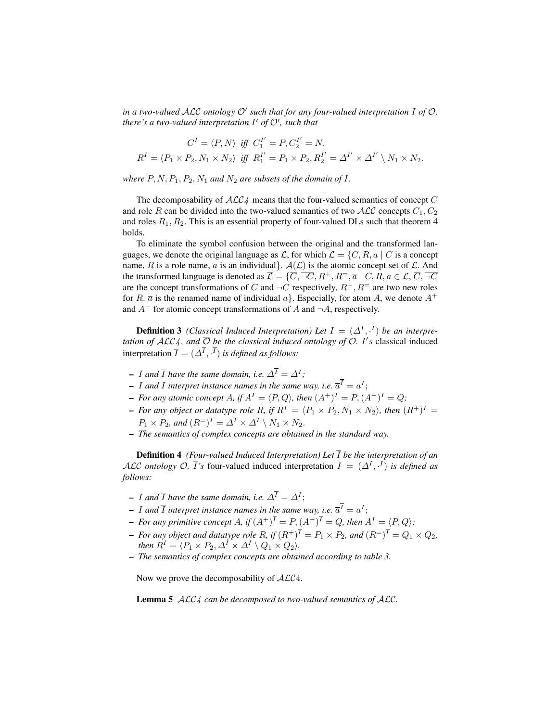in a two-valued  $\text{ALC}$  ontology  $\mathcal{O}'$  such that for any four-valued interpretation I of  $\mathcal{O}$ , *there's a two-valued interpretation I' of*  $O'$ *, such that* 

$$
C^I = \langle P, N \rangle \text{ iff } C_1^{I'} = P, C_2^{I'} = N.
$$
  

$$
R^I = \langle P_1 \times P_2, N_1 \times N_2 \rangle \text{ iff } R_1^{I'} = P_1 \times P_2, R_2^{I'} = \Delta^{I'} \times \Delta^{I'} \setminus N_1 \times N_2.
$$

*where*  $P, N, P_1, P_2, N_1$  *and*  $N_2$  *are subsets of the domain of I.* 

The decomposability of  $ALC_4$  means that the four-valued semantics of concept C and role R can be divided into the two-valued semantics of two  $\mathcal{ALC}$  concepts  $C_1, C_2$ and roles  $R_1, R_2$ . This is an essential property of four-valued DLs such that theorem 4 holds.

To eliminate the symbol confusion between the original and the transformed languages, we denote the original language as  $\mathcal{L}$ , for which  $\mathcal{L} = \{C, R, a \mid C \text{ is a concept} \}$ name, R is a role name, a is an individual}.  $A(\mathcal{L})$  is the atomic concept set of  $\mathcal{L}$ . And the transformed language is denoted as  $\overline{\mathcal{L}} = \{\overline{C}, \overline{\neg C}, R^+, R^=,\overline{a} \mid C, R, a \in \mathcal{L}, \overline{C}, \overline{\neg C}\}$ are the concept transformations of C and  $\neg C$  respectively,  $R^+$ ,  $R^-$  are two new roles for R.  $\bar{a}$  is the renamed name of individual  $a$ . Especially, for atom A, we denote  $A^+$ and  $A^-$  for atomic concept transformations of A and  $\neg A$ , respectively.

**Definition 3** *(Classical Induced Interpretation) Let*  $I = (\Delta^I, \cdot^I)$  *be an interpretation of ALC* 4, and  $\overline{\mathcal{O}}$  *be the classical induced ontology of*  $\mathcal{O}$ *. I's classical induced* interpretation  $\overline{I} = (\Delta^I, \cdot^I)$  *is defined as follows:* 

- $-$  *I* and  $\overline{I}$  have the same domain, i.e.  $\Delta^{I} = \Delta^{I}$ ;
- $-$  I and  $\overline{I}$  interpret instance names in the same way, i.e.  $\overline{a}^I = a^I;$
- **−** For any atomic concept A, if  $A^I = \langle P, Q \rangle$ , then  $(A^+)^{\bar{I}} = P$ ,  $(A^-)^{\bar{I}} = Q$ ;
- $-$  *For any object or datatype role* R, if  $R^I = \langle P_1 \times P_2, N_1 \times N_2 \rangle$ *, then*  $(R^+)^I =$  $P_1 \times P_2$ , and  $(R^=)^I = \Delta^I \times \Delta^I \setminus N_1 \times N_2$ .
- *The semantics of complex concepts are obtained in the standard way.*

**Definition 4** *(Four-valued Induced Interpretation) Let*  $\overline{I}$  *be the interpretation of an* ALC *ontology*  $\mathcal{O}$ ,  $\overline{I}$ 's four-valued induced interpretation  $I = (\Delta^I, \cdot^I)$  is defined as *follows:*

- $-$  I and  $\overline{I}$  have the same domain, i.e.  $\Delta^{I} = \Delta^{I}$ ;
- $-$  I and  $\overline{I}$  interpret instance names in the same way, i.e.  $\overline{a}^I = a^I;$
- *− For any primitive concept* A, if  $(A^+)^I = P$ ,  $(A^-)^I = Q$ , then  $A^I = \langle P, Q \rangle$ ;
- $-$  *For any object and datatype role* R, if  $(R^+)^I = P_1 \times P_2$ , and  $(R^=)^I = Q_1 \times Q_2$ , *then*  $R^I = \langle P_1 \times P_2, \Delta^I \times \Delta^I \setminus Q_1 \times Q_2 \rangle$ *.*
- *The semantics of complex concepts are obtained according to table 3.*

Now we prove the decomposability of  $ALC4$ .

Lemma 5 ALC4 *can be decomposed to two-valued semantics of* ALC*.*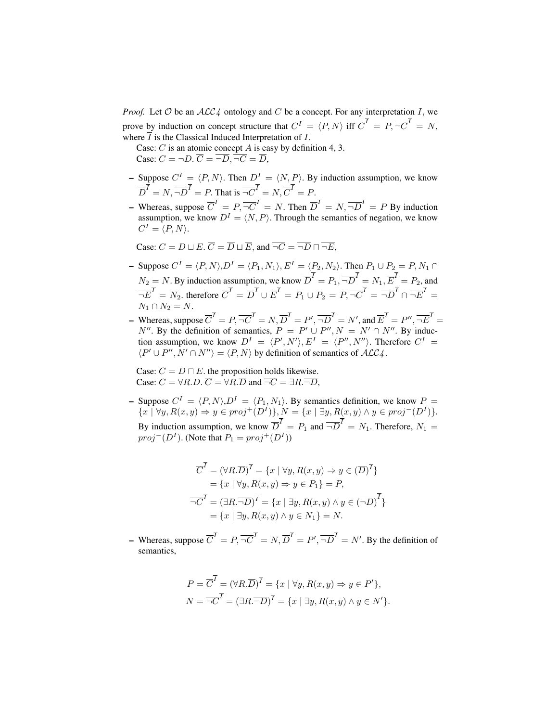*Proof.* Let  $O$  be an  $ALC4$  ontology and  $C$  be a concept. For any interpretation  $I$ , we prove by induction on concept structure that  $C^I = \langle P, N \rangle$  iff  $\overline{C}^I = P, \overline{\neg C}^I = N$ , where  $\overline{I}$  is the Classical Induced Interpretation of I.

Case: C is an atomic concept A is easy by definition 4, 3. Case:  $C = \neg D$ .  $\overline{C} = \overline{\neg D}$ ,  $\overline{\neg C} = \overline{D}$ ,

- Suppose  $C^I = \langle P, N \rangle$ . Then  $D^I = \langle N, P \rangle$ . By induction assumption, we know  $\overline{D}^I = N$ ,  $\overline{\neg D}^I = P$ . That is  $\overline{\neg C}^I = N$ ,  $\overline{C}^I = P$ .
- Whereas, suppose  $\overline{C}^I = P, \overline{\neg C}^I = N$ . Then  $\overline{D}^I = N, \overline{\neg D}^I = P$  By induction assumption, we know  $D^I = \langle N, P \rangle$ . Through the semantics of negation, we know  $C^I = \langle P, N \rangle.$

Case:  $C = D \sqcup E$ ,  $\overline{C} = \overline{D} \sqcup \overline{E}$ , and  $\overline{\neg C} = \overline{\neg D} \sqcap \overline{\neg E}$ ,

- **−** Suppose  $C^I = \langle P, N \rangle$ ,  $D^I = \langle P_1, N_1 \rangle$ ,  $E^I = \langle P_2, N_2 \rangle$ . Then  $P_1 \cup P_2 = P$ ,  $N_1 \cap$  $N_2 = N$ . By induction assumption, we know  $\overline{D}^I = P_1$ ,  $\overline{\neg D}^I = N_1$ ,  $\overline{E}^I = P_2$ , and  $\overline{\neg E}^I = N_2$ , therefore  $\overline{C}^I = \overline{D}^I \cup \overline{E}^I = P_1 \cup P_2 = P_1 \overline{\neg C}^I = \overline{\neg D}^I \cap \overline{\neg E}^I =$  $N_1 \cap N_2 = N$ .
- Whereas, suppose  $\overline{C}^I = P$ ,  $\overline{\neg C}^I = N$ ,  $\overline{D}^I = P'$ ,  $\overline{\neg D}^I = N'$ , and  $\overline{E}^I = P''$ ,  $\overline{\neg E}^I =$ N''. By the definition of semantics,  $P = P' \cup P''$ ,  $N = N' \cap N''$ . By induction assumption, we know  $D^I = \langle P', N' \rangle, E^I = \langle P'', N'' \rangle$ . Therefore  $C^I =$  $\langle P' \cup P'', N' \cap N'' \rangle = \langle P, N \rangle$  by definition of semantics of  $\mathcal{ALC}_4$ .

Case:  $C = D \sqcap E$ . the proposition holds likewise. Case:  $C = \forall R.D. \overline{C} = \forall R.\overline{D}$  and  $\overline{\neg C} = \exists R.\overline{\neg D}$ .

- Suppose  $C^I = \langle P, N \rangle$ ,  $D^I = \langle P_1, N_1 \rangle$ . By semantics definition, we know  $P =$  $\{x \mid \forall y, R(x, y) \Rightarrow y \in proj^+(D^I)\}, N = \{x \mid \exists y, R(x, y) \land y \in proj^-(D^I)\}.$ By induction assumption, we know  $\overline{D}^I = P_1$  and  $\overline{\neg D}^I = N_1$ . Therefore,  $N_1 =$  $proj^-(D^I)$ . (Note that  $P_1 = proj^+(D^I)$ )

$$
\overline{C}^I = (\forall R.\overline{D})^{\overline{I}} = \{x \mid \forall y, R(x, y) \Rightarrow y \in (\overline{D})^{\overline{I}}\}
$$

$$
= \{x \mid \forall y, R(x, y) \Rightarrow y \in P_1\} = P,
$$

$$
\overline{\neg C}^{\overline{I}} = (\exists R.\overline{\neg D})^{\overline{I}} = \{x \mid \exists y, R(x, y) \land y \in (\overline{\neg D})^{\overline{I}}\}
$$

$$
= \{x \mid \exists y, R(x, y) \land y \in N_1\} = N.
$$

- Whereas, suppose  $\overline{C}^I = P$ ,  $\overline{\neg C}^I = N$ ,  $\overline{D}^I = P'$ ,  $\overline{\neg D}^I = N'$ . By the definition of semantics,

$$
P = \overline{C}^{\overline{I}} = (\forall R. \overline{D})^{\overline{I}} = \{x \mid \forall y, R(x, y) \Rightarrow y \in P'\},
$$
  

$$
N = \overline{\neg C}^{\overline{I}} = (\exists R. \overline{\neg D})^{\overline{I}} = \{x \mid \exists y, R(x, y) \land y \in N'\}.
$$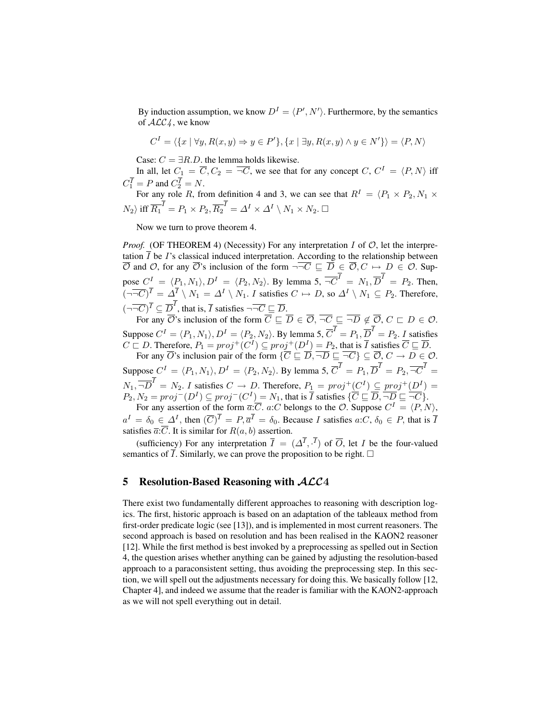By induction assumption, we know  $D^I = \langle P', N' \rangle$ . Furthermore, by the semantics of  $ALC4$ , we know

$$
C^{I} = \langle \{x \mid \forall y, R(x, y) \Rightarrow y \in P'\}, \{x \mid \exists y, R(x, y) \land y \in N'\} \rangle = \langle P, N \rangle
$$

Case:  $C = \exists R.D.$  the lemma holds likewise.

In all, let  $C_1 = \overline{C}, C_2 = \overline{\neg C}$ , we see that for any concept  $C, C^I = \langle P, N \rangle$  iff  $C_1^I = P$  and  $C_2^I = N$ .

For any role R, from definition 4 and 3, we can see that  $R^I = \langle P_1 \times P_2, N_1 \times P_2 \rangle$  $\langle N_2\rangle$  iff  $\overline{R_1}^I=P_1\times P_2, \overline{R_2}^I=\varDelta^I\times\varDelta^I\setminus N_1\times N_2.$   $\Box$ 

Now we turn to prove theorem 4.

*Proof.* (OF THEOREM 4) (Necessity) For any interpretation  $I$  of  $O$ , let the interpretation  $\overline{I}$  be I's classical induced interpretation. According to the relationship between  $\overline{\mathcal{O}}$  and  $\mathcal{O}$ , for any  $\overline{\mathcal{O}}$ 's inclusion of the form  $\neg \overline{\neg C} \sqsubseteq \overline{\mathcal{D}} \in \overline{\mathcal{O}}$ ,  $C \mapsto D \in \mathcal{O}$ . Suppose  $C^I = \langle P_1, N_1 \rangle, D^I = \langle P_2, N_2 \rangle$ . By lemma 5,  $\overline{\neg C}^I = N_1, \overline{D}^I = P_2$ . Then,  $(\neg \neg \overline{C})^I = \Delta^I \setminus N_1 = \Delta^I \setminus N_1$ . *I* satisfies  $C \mapsto D$ , so  $\Delta^I \setminus N_1 \subseteq P_2$ . Therefore,  $\left(\overline{-C}\right)^{\overline{I}} \subseteq \overline{D}^I$ , that is,  $\overline{I}$  satisfies  $\overline{-C} \sqsubseteq \overline{D}$ .

For any  $\overline{O}$ 's inclusion of the form  $\overline{C} \sqsubseteq \overline{D} \in \overline{O}$ ,  $\overline{\neg C} \sqsubseteq \overline{\neg D} \notin \overline{O}$ ,  $C \sqsubset D \in \mathcal{O}$ . Suppose  $C^I = \langle P_1, N_1 \rangle, D^I = \langle P_2, N_2 \rangle$ . By lemma 5,  $\overline{C}^I = P_1, \overline{D}^I = P_2$ . I satisfies  $C \sqsubset D$ . Therefore,  $P_1 = proj^+(C^I) \subseteq proj^+(D^I) = P_2$ , that is  $\overline{I}$  satisfies  $\overline{C} \sqsubseteq \overline{D}$ .

For any  $\overline{O}$ 's inclusion pair of the form  $\{\overline{C} \sqsubseteq \overline{D}, \overline{\neg D} \sqsubseteq \overline{\neg C}\} \subseteq \overline{O}, C \to D \in \mathcal{O}$ . Suppose  $C^I = \langle P_1, N_1 \rangle, D^I = \langle P_2, N_2 \rangle$ . By lemma 5,  $\overline{C}^I = P_1, \overline{D}^I = P_2, \overline{\neg C}^I =$  $N_1, \overline{\neg D}^I = N_2$ . I satisfies  $C \rightarrow D$ . Therefore,  $P_1 = proj^+(C^I) \subseteq proj^+(D^I) =$  $P_2, N_2 = proj^-(D^I) \subseteq proj^-(C^I) = N_1$ , that is  $\overline{I}$  satisfies  $\{\overline{C} \sqsubseteq \overline{D}, \overline{\neg D} \sqsubseteq \overline{\neg C}\}$ .

For any assertion of the form  $\overline{a}:\overline{C}$ .  $a:C$  belongs to the  $\mathcal{O}$ . Suppose  $C^I = \langle P, N \rangle$ ,  $a^I = \delta_0 \in \Delta^I$ , then  $(\overline{C})^I = P$ ,  $\overline{a}^I = \delta_0$ . Because *I* satisfies  $a:C$ ,  $\delta_0 \in P$ , that is  $\overline{I}$ satisfies  $\overline{a}:C$ . It is similar for  $R(a, b)$  assertion.

(sufficiency) For any interpretation  $\overline{I} = (\Delta^I, \cdot^I)$  of  $\overline{O}$ , let *I* be the four-valued semantics of  $\overline{I}$ . Similarly, we can prove the proposition to be right.  $\Box$ 

### 5 Resolution-Based Reasoning with  $ALC4$

There exist two fundamentally different approaches to reasoning with description logics. The first, historic approach is based on an adaptation of the tableaux method from first-order predicate logic (see [13]), and is implemented in most current reasoners. The second approach is based on resolution and has been realised in the KAON2 reasoner [12]. While the first method is best invoked by a preprocessing as spelled out in Section 4, the question arises whether anything can be gained by adjusting the resolution-based approach to a paraconsistent setting, thus avoiding the preprocessing step. In this section, we will spell out the adjustments necessary for doing this. We basically follow [12, Chapter 4], and indeed we assume that the reader is familiar with the KAON2-approach as we will not spell everything out in detail.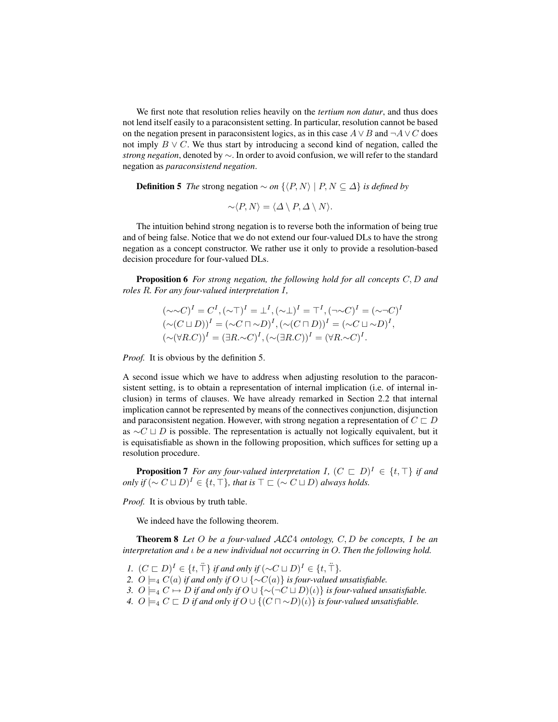We first note that resolution relies heavily on the *tertium non datur*, and thus does not lend itself easily to a paraconsistent setting. In particular, resolution cannot be based on the negation present in paraconsistent logics, as in this case  $A \vee B$  and  $\neg A \vee C$  does not imply  $B \vee C$ . We thus start by introducing a second kind of negation, called the *strong negation*, denoted by ∼. In order to avoid confusion, we will refer to the standard negation as *paraconsistend negation*.

**Definition 5** *The* strong negation ∼ *on*  $\{P, N\}$  | P, N ⊂  $\Delta\}$  *is defined by* 

 $\sim \langle P, N \rangle = \langle \Delta \setminus P, \Delta \setminus N \rangle.$ 

The intuition behind strong negation is to reverse both the information of being true and of being false. Notice that we do not extend our four-valued DLs to have the strong negation as a concept constructor. We rather use it only to provide a resolution-based decision procedure for four-valued DLs.

Proposition 6 *For strong negation, the following hold for all concepts* C, D *and roles* R*. For any four-valued interpretation* I*,*

$$
(\sim \sim C)^I = C^I, (\sim \top)^I = \bot^I, (\sim \perp)^I = \top^I, (\sim C)^I = (\sim \neg C)^I
$$
  

$$
(\sim (C \sqcup D))^I = (\sim C \sqcap \sim D)^I, (\sim (C \sqcap D))^I = (\sim C \sqcup \sim D)^I,
$$
  

$$
(\sim (\forall R.C))^I = (\exists R.\sim C)^I, (\sim (\exists R.C))^I = (\forall R.\sim C)^I.
$$

*Proof.* It is obvious by the definition 5.

A second issue which we have to address when adjusting resolution to the paraconsistent setting, is to obtain a representation of internal implication (i.e. of internal inclusion) in terms of clauses. We have already remarked in Section 2.2 that internal implication cannot be represented by means of the connectives conjunction, disjunction and paraconsistent negation. However, with strong negation a representation of  $C \sqsubset D$ as  $\sim C \sqcup D$  is possible. The representation is actually not logically equivalent, but it is equisatisfiable as shown in the following proposition, which suffices for setting up a resolution procedure.

**Proposition 7** For any four-valued interpretation I,  $(C \sqsubset D)^{I} \in \{t, \top\}$  if and *only if*  $( \sim C \sqcup D)^{I} \in \{t, \top\}$ *, that is*  $\top \sqsubset (\sim C \sqcup D)$  *always holds.* 

*Proof.* It is obvious by truth table.

We indeed have the following theorem.

Theorem 8 *Let* O *be a four-valued* ALC4 *ontology,* C, D *be concepts,* I *be an interpretation and* ι *be a new individual not occurring in* O*. Then the following hold.*

- *1.*  $(C \sqsubset D)^{I} \in \{t, \ddot{\top}\}$  *if and only if*  $({\sim}C \sqcup D)^{I} \in \{t, \ddot{\top}\}.$
- *2.*  $O \models_4 C(a)$  *if and only if*  $O \cup {\sim} C(a)$ *} is four-valued unsatisfiable.*
- *3.*  $O \models_4 C \mapsto D$  *if and only if*  $O \cup {\sim} (\neg C \sqcup D)(\iota)$  *is four-valued unsatisfiable.*
- *4.*  $O \models_4 C ⊂ D$  *if and only if*  $O \cup \{ (C \sqcap \sim D)(i) \}$  *is four-valued unsatisfiable.*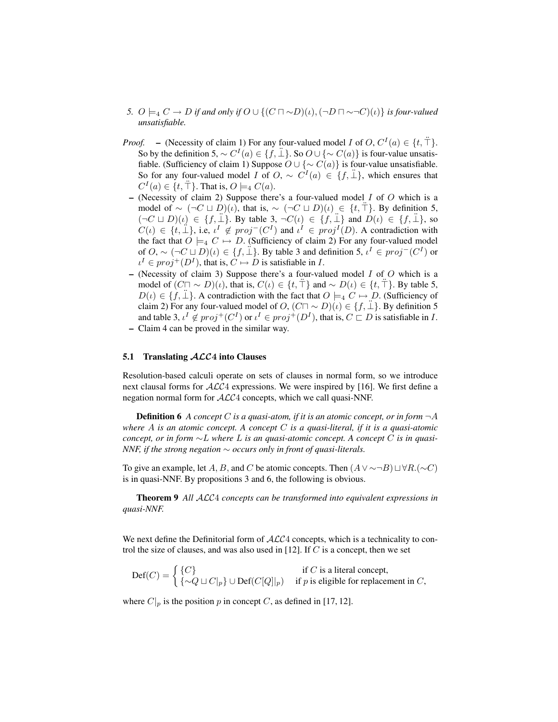- *5.*  $O \models_4 C \rightarrow D$  *if and only if*  $O \cup \{(C \sqcap \sim D)(\iota), (\neg D \sqcap \sim \neg C)(\iota)\}$  *is four-valued unsatisfiable.*
- *Proof.* (Necessity of claim 1) For any four-valued model *I* of *O*,  $C^{I}(a) \in \{t, \dot{\top}\}.$ So by the definition 5,  $\sim C^{I}(a) \in \{f, \perp\}$ . So  $O \cup \{\sim C(a)\}$  is four-value unsatisfiable. (Sufficiency of claim 1) Suppose  $O \cup \{\sim C(a)\}\$ is four-value unsatisfiable. So for any four-valued model I of  $O \sim C^{I}(a) \in \{f, \perp\}$ , which ensures that  $C^{I}(a) \in \{t, \ddot{\top}\}\$ . That is,  $O \models_{4} C(a)$ .
- (Necessity of claim 2) Suppose there's a four-valued model  $I$  of  $O$  which is a model of ~  $(\neg C \sqcup D)(\iota)$ , that is, ~  $(\neg C \sqcup D)(\iota) \in \{t, \top\}$ . By definition 5,  $(\neg C \sqcup D)(\iota) \in \{f, \bot\}.$  By table 3,  $\neg C(\iota) \in \{f, \bot\}$  and  $D(\iota) \in \{f, \bot\}$ , so  $C(\iota) \in \{t, \perp\}$ , i.e.,  $\iota^I \notin proj^{-}(C^I)$  and  $\iota^I \in proj^{I}(D)$ . A contradiction with the fact that  $O \models_4 C \mapsto D$ . (Sufficiency of claim 2) For any four-valued model of  $O \sim (\neg C \sqcup D)(\iota) \in \{f, \perp\}$ . By table 3 and definition 5,  $\iota^I \in proj^{-}(C^I)$  or  $u^I \in proj^+(D^I)$ , that is,  $C \mapsto D$  is satisfiable in I.
- (Necessity of claim 3) Suppose there's a four-valued model  $I$  of  $O$  which is a model of  $(C \sqcap \sim D)(\iota)$ , that is,  $C(\iota) \in \{t, \top\}$  and  $\sim D(\iota) \in \{t, \top\}$ . By table 5,  $D(\iota) \in \{f, \perp\}$ . A contradiction with the fact that  $O \models_4 C \mapsto D$ . (Sufficiency of claim 2) For any four-valued model of  $O$ ,  $(C \sqcap \sim D)(\iota) \in \{f, \perp\}$ . By definition 5 and table 3,  $\iota^I \notin proj^+(C^I)$  or  $\iota^I \in proj^+(D^I)$ , that is,  $C \sqsubset D$  is satisfiable in *I*. – Claim 4 can be proved in the similar way.

# 5.1 Translating  $ALC4$  into Clauses

Resolution-based calculi operate on sets of clauses in normal form, so we introduce next clausal forms for  $ALC4$  expressions. We were inspired by [16]. We first define a negation normal form for ALC4 concepts, which we call quasi-NNF.

**Definition 6** A concept C is a quasi-atom, if it is an atomic concept, or in form  $\neg A$ *where* A *is an atomic concept. A concept* C *is a quasi-literal, if it is a quasi-atomic concept, or in form* ∼L *where* L *is an quasi-atomic concept. A concept* C *is in quasi-NNF, if the strong negation* ∼ *occurs only in front of quasi-literals.*

To give an example, let A, B, and C be atomic concepts. Then  $(A \vee \sim \neg B) \sqcup \forall R.(\sim C)$ is in quasi-NNF. By propositions 3 and 6, the following is obvious.

Theorem 9 *All* ALC4 *concepts can be transformed into equivalent expressions in quasi-NNF.*

We next define the Definitorial form of  $ALC4$  concepts, which is a technicality to control the size of clauses, and was also used in [12]. If  $C$  is a concept, then we set

$$
\text{Def}(C) = \begin{cases} \{C\} & \text{if } C \text{ is a literal concept,} \\ \{\sim Q \sqcup C|_p\} \cup \text{Def}(C[Q]|_p) & \text{if } p \text{ is eligible for replacement in } C, \end{cases}
$$

where  $C|_p$  is the position p in concept C, as defined in [17, 12].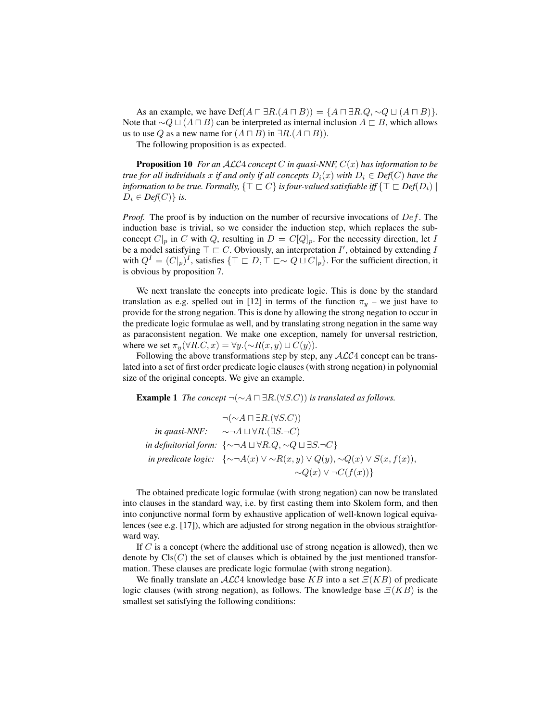As an example, we have  $\text{Def}(A \sqcap \exists R.(A \sqcap B)) = \{A \sqcap \exists R.Q, \sim Q \sqcup (A \sqcap B)\}.$ Note that ∼ $Q \sqcup (A \sqcap B)$  can be interpreted as internal inclusion  $A \sqsubset B$ , which allows us to use Q as a new name for  $(A \sqcap B)$  in  $\exists R.(A \sqcap B)$ ).

The following proposition is as expected.

Proposition 10 *For an* ALC4 *concept* C *in quasi-NNF,* C(x) *has information to be true for all individuals* x *if and only if all concepts*  $D_i(x)$  *with*  $D_i \in Def(C)$  *have the information to be true. Formally,*  $\{T \sqsubset C\}$  *is four-valued satisfiable iff*  $\{T \sqsubset Def(D_i) \mid$  $D_i \in Def(C)$  *is.* 

*Proof.* The proof is by induction on the number of recursive invocations of Def. The induction base is trivial, so we consider the induction step, which replaces the subconcept  $C|_p$  in C with Q, resulting in  $D = C[Q]_p$ . For the necessity direction, let I be a model satisfying  $\top \sqsubset C$ . Obviously, an interpretation I', obtained by extending I with  $Q^I = (C|_p)^I$ , satisfies  $\{\top \sqsubset D, \top \sqsubset \sim Q \sqcup C|_p\}$ . For the sufficient direction, it is obvious by proposition 7.

We next translate the concepts into predicate logic. This is done by the standard translation as e.g. spelled out in [12] in terms of the function  $\pi_u$  – we just have to provide for the strong negation. This is done by allowing the strong negation to occur in the predicate logic formulae as well, and by translating strong negation in the same way as paraconsistent negation. We make one exception, namely for unversal restriction, where we set  $\pi_y(\forall R.C, x) = \forall y.(\sim R(x, y) \sqcup C(y)).$ 

Following the above transformations step by step, any  $ALC4$  concept can be translated into a set of first order predicate logic clauses (with strong negation) in polynomial size of the original concepts. We give an example.

**Example 1** *The concept*  $\neg(\sim A \sqcap \exists R.(\forall S.C))$  *is translated as follows.* 

$$
\neg(\neg A \sqcap \exists R.(\forall S.C))
$$
  
in quasi-NNF:  

$$
\neg A \sqcup \forall R.(\exists S.\neg C)
$$
  
in *definitorial form:* {
$$
\neg A \sqcup \forall R.Q, \neg Q \sqcup \exists S.\neg C
$$
  
in predicate logic: {
$$
\neg A(x) \lor \neg R(x,y) \lor Q(y), \neg Q(x) \lor S(x, f(x)),
$$
  

$$
\neg Q(x) \lor \neg C(f(x))
$$
}

The obtained predicate logic formulae (with strong negation) can now be translated into clauses in the standard way, i.e. by first casting them into Skolem form, and then into conjunctive normal form by exhaustive application of well-known logical equivalences (see e.g. [17]), which are adjusted for strong negation in the obvious straightforward way.

If  $C$  is a concept (where the additional use of strong negation is allowed), then we denote by  $Cls(C)$  the set of clauses which is obtained by the just mentioned transformation. These clauses are predicate logic formulae (with strong negation).

We finally translate an  $\mathcal{ALCA}$  knowledge base KB into a set  $\mathcal{Z}(KB)$  of predicate logic clauses (with strong negation), as follows. The knowledge base  $\Xi(KB)$  is the smallest set satisfying the following conditions: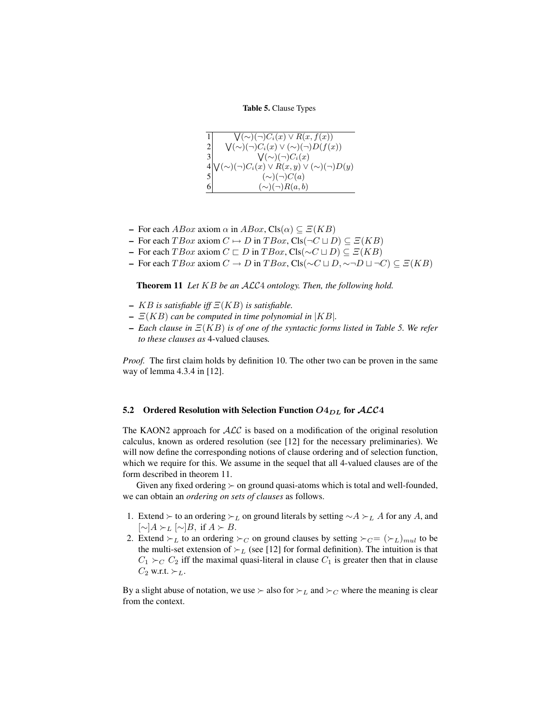### Table 5. Clause Types



- For each  $ABox$  axiom  $\alpha$  in  $ABox$ , Cls $(\alpha) \subseteq E(KB)$
- For each  $TBox$  axiom  $C \mapsto D$  in  $TBox$ , Cls $(\neg C \sqcup D) \subseteq E(KB)$
- For each  $TBox$  axiom  $C \sqsubset D$  in  $TBox$ , Cls(∼ $C \sqcup D$ )  $\subseteq E(KB)$
- For each  $TBox$  axiom  $C \to D$  in  $TBox$ , Cls( $\sim C \sqcup D$ ,  $\sim \neg D \sqcup \neg C$ ) ⊆  $\Xi(KB)$

Theorem 11 *Let* KB *be an* ALC4 *ontology. Then, the following hold.*

- KB *is satisfiable iff* Ξ(KB) *is satisfiable.*
- Ξ(KB) *can be computed in time polynomial in* |KB|*.*
- *Each clause in* Ξ(KB) *is of one of the syntactic forms listed in Table 5. We refer to these clauses as* 4-valued clauses*.*

*Proof.* The first claim holds by definition 10. The other two can be proven in the same way of lemma 4.3.4 in [12].

### 5.2 Ordered Resolution with Selection Function  $O4_{DL}$  for  $\mathcal{ALC}4$

The KAON2 approach for  $ALC$  is based on a modification of the original resolution calculus, known as ordered resolution (see [12] for the necessary preliminaries). We will now define the corresponding notions of clause ordering and of selection function, which we require for this. We assume in the sequel that all 4-valued clauses are of the form described in theorem 11.

Given any fixed ordering  $\succ$  on ground quasi-atoms which is total and well-founded, we can obtain an *ordering on sets of clauses* as follows.

- 1. Extend ≻ to an ordering ≻<sub>L</sub> on ground literals by setting  $\sim A \succ_L A$  for any A, and  $[\sim]A \succ_L [\sim]B$ , if  $A \succ B$ .
- 2. Extend  $\succ_L$  to an ordering  $\succ_C$  on ground clauses by setting  $\succ_C = (\succ_L)_{mul}$  to be the multi-set extension of  $\succ_L$  (see [12] for formal definition). The intuition is that  $C_1 \succ_C C_2$  iff the maximal quasi-literal in clause  $C_1$  is greater then that in clause  $C_2$  w.r.t.  $\succ_L$ .

By a slight abuse of notation, we use  $\succ$  also for  $\succ_L$  and  $\succ_C$  where the meaning is clear from the context.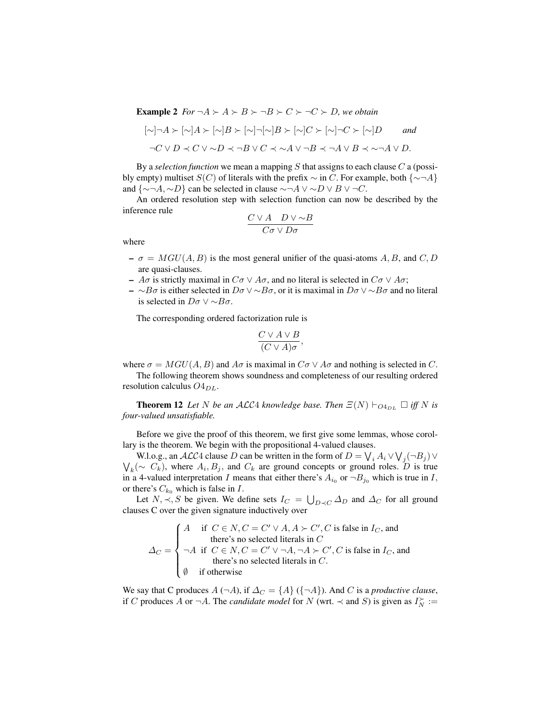**Example 2** For  $\neg A \succ A \succ B \succ \neg B \succ C \succ \neg C \succ D$ , we obtain

$$
[\sim] \neg A \succ [\sim] A \succ [\sim] B \succ [\sim] \neg [\sim] B \succ [\sim] C \succ [\sim] \neg C \succ [\sim] D \qquad \text{and}
$$
  

$$
\neg C \lor D \prec C \lor \sim D \prec \neg B \lor C \prec \sim A \lor \neg B \prec \neg A \lor B \prec \sim \neg A \lor D.
$$

By a *selection function* we mean a mapping S that assigns to each clause C a (possibly empty) multiset  $S(C)$  of literals with the prefix  $\sim$  in C. For example, both  $\{\sim \neg A\}$ and  $\{\sim \neg A, \sim D\}$  can be selected in clause  $\sim \neg A \lor \sim D \lor B \lor \neg C$ .

An ordered resolution step with selection function can now be described by the inference rule

$$
\frac{C\vee A\quad D\vee\sim B}{C\sigma\vee D\sigma}
$$

where

- $-\sigma = MGU(A, B)$  is the most general unifier of the quasi-atoms A, B, and C, D are quasi-clauses.
- *Aσ* is strictly maximal in  $Cσ ∨ Aσ$ , and no literal is selected in  $Cσ ∨ Aσ$ ;
- $-$  ∼Bσ is either selected in Dσ  $\vee$  ∼Bσ, or it is maximal in Dσ  $\vee$  ∼Bσ and no literal is selected in  $D\sigma \vee \sim B\sigma$ .

The corresponding ordered factorization rule is

$$
\frac{C \vee A \vee B}{(C \vee A)\sigma},
$$

where  $\sigma = MGU(A, B)$  and  $A\sigma$  is maximal in  $C\sigma \vee A\sigma$  and nothing is selected in C. The following theorem shows soundness and completeness of our resulting ordered resolution calculus  $O4_{DL}$ .

**Theorem 12** *Let* N *be an ACC4 knowledge base. Then*  $\Xi(N) \vdash_{O4_{DL}} \Box$  *iff* N *is four-valued unsatisfiable.*

Before we give the proof of this theorem, we first give some lemmas, whose corollary is the theorem. We begin with the propositional 4-valued clauses.

W.l.o.g., an ALC4 clause D can be written in the form of  $D = \bigvee_i A_i \vee \bigvee_j (\neg B_j) \vee$  $\bigvee_k (\sim C_k)$ , where  $A_i, B_j$ , and  $C_k$  are ground concepts or ground roles. D is true in a 4-valued interpretation I means that either there's  $A_{i_0}$  or  $\neg B_{j_0}$  which is true in I, or there's  $C_{k_0}$  which is false in I.

Let  $N, \prec, S$  be given. We define sets  $I_C = \bigcup_{D \prec C} \Delta_D$  and  $\Delta_C$  for all ground clauses C over the given signature inductively over

$$
\Delta_C = \begin{cases}\nA & \text{if } C \in N, C = C' \vee A, A \succ C', C \text{ is false in } I_C, \text{ and } \\
& \text{there's no selected literals in } C \\
\neg A & \text{if } C \in N, C = C' \vee \neg A, \neg A \succ C', C \text{ is false in } I_C, \text{ and } \\
& \text{there's no selected literals in } C.\n\end{cases}
$$
\n
$$
\emptyset \text{if otherwise}
$$

We say that C produces  $A(\neg A)$ , if  $\Delta_C = \{A\}$  ( $\{\neg A\}$ ). And C is a *productive clause*, if C produces A or  $\neg A$ . The *candidate model* for N (wrt.  $\prec$  and S) is given as  $I_N^{\succ}$  :=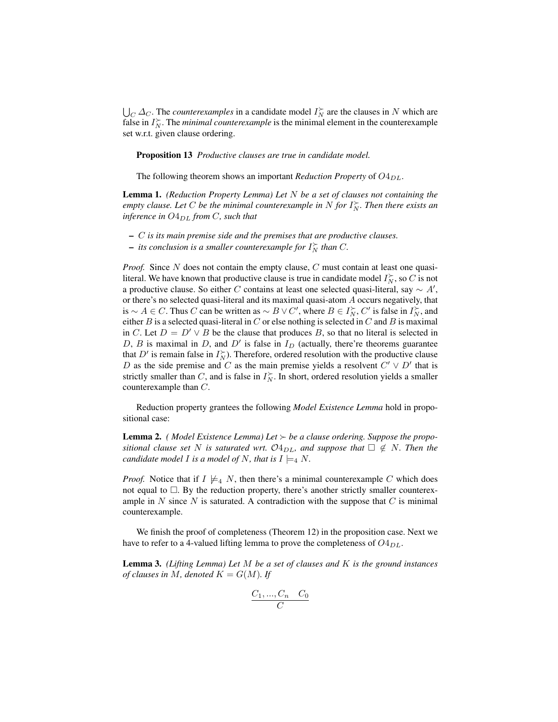$\bigcup_C \Delta_C$ . The *counterexamples* in a candidate model  $I_N^{\succ}$  are the clauses in N which are false in  $I_N^{\succ}$ . The *minimal counterexample* is the minimal element in the counterexample set w.r.t. given clause ordering.

Proposition 13 *Productive clauses are true in candidate model.*

The following theorem shows an important *Reduction Property* of  $O4_{DL}$ .

Lemma 1. *(Reduction Property Lemma) Let* N *be a set of clauses not containing the empty clause. Let* C *be the minimal counterexample in* N *for*  $I_N^{\succ}$ . Then there exists an *inference in*  $O4_{DL}$  *from C, such that* 

- C *is its main premise side and the premises that are productive clauses.*
- $-$  *its conclusion is a smaller counterexample for*  $I_N^{\succ}$  *than* C.

*Proof.* Since N does not contain the empty clause, C must contain at least one quasiliteral. We have known that productive clause is true in candidate model  $I_N^{\succ}$ , so C is not a productive clause. So either C contains at least one selected quasi-literal, say  $\sim A'$ , or there's no selected quasi-literal and its maximal quasi-atom A occurs negatively, that is  $\sim A \in C$ . Thus C can be written as  $\sim B \vee C'$ , where  $B \in I_N^{\succ}, C'$  is false in  $I_N^{\succ}$ , and either B is a selected quasi-literal in C or else nothing is selected in C and B is maximal in C. Let  $D = D' \vee B$  be the clause that produces B, so that no literal is selected in D, B is maximal in D, and  $D'$  is false in  $I_D$  (actually, there're theorems guarantee that D' is remain false in  $I_N^{\succ}$ ). Therefore, ordered resolution with the productive clause D as the side premise and C as the main premise yields a resolvent  $C' \vee D'$  that is strictly smaller than C, and is false in  $I_N^{\succ}$ . In short, ordered resolution yields a smaller counterexample than C.

Reduction property grantees the following *Model Existence Lemma* hold in propositional case:

**Lemma 2.** *(Model Existence Lemma) Let*  $\succ$  *be a clause ordering. Suppose the propositional clause set* N *is saturated wrt.*  $O_{4DL}$  *and suppose that*  $\Box \notin N$ *. Then the candidate model I is a model of N, that is*  $I \models_4 N$ *.* 

*Proof.* Notice that if  $I \not\models_4 N$ , then there's a minimal counterexample C which does not equal to  $\Box$ . By the reduction property, there's another strictly smaller counterexample in  $N$  since  $N$  is saturated. A contradiction with the suppose that  $C$  is minimal counterexample.

We finish the proof of completeness (Theorem 12) in the proposition case. Next we have to refer to a 4-valued lifting lemma to prove the completeness of  $O4_{DL}$ .

Lemma 3. *(Lifting Lemma) Let* M *be a set of clauses and* K *is the ground instances of clauses in M, denoted*  $K = G(M)$ *. If* 

$$
\frac{C_1, ..., C_n \quad C_0}{C}
$$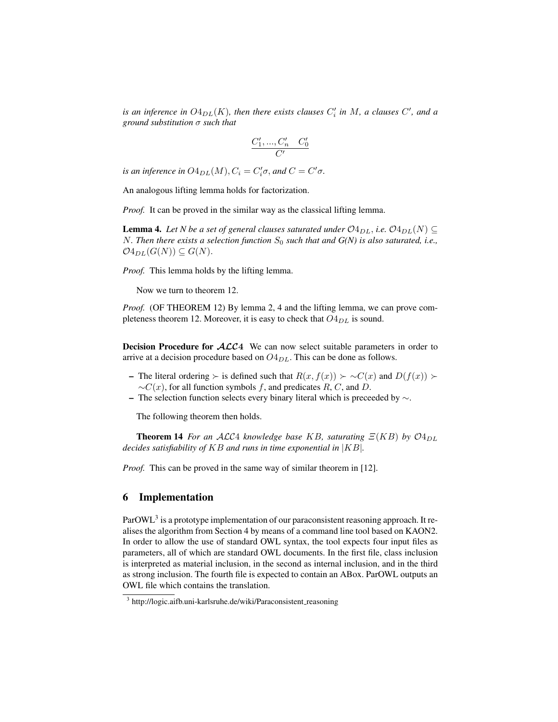*is an inference in*  $O4_{DL}(K)$ , then there exists clauses  $C_i'$  in M, a clauses  $C'$ , and a *ground substitution* σ *such that*

$$
\frac{C'_1,...,C'_n\quad C'_0}{C'}
$$

*is an inference in*  $O4_{DL}(M)$ ,  $C_i = C'_i \sigma$ , and  $C = C' \sigma$ .

An analogous lifting lemma holds for factorization.

*Proof.* It can be proved in the similar way as the classical lifting lemma.

**Lemma 4.** Let N be a set of general clauses saturated under  $O4_{DL}$ , *i.e.*  $O4_{DL}(N) \subseteq$ N. Then there exists a selection function  $S_0$  such that and  $G(N)$  is also saturated, i.e.,  $O4_{DL}(G(N)) \subseteq G(N)$ .

*Proof.* This lemma holds by the lifting lemma.

Now we turn to theorem 12.

*Proof.* (OF THEOREM 12) By lemma 2, 4 and the lifting lemma, we can prove completeness theorem 12. Moreover, it is easy to check that  $O_{4DL}$  is sound.

Decision Procedure for  $ALC4$  We can now select suitable parameters in order to arrive at a decision procedure based on  $O_{D,L}$ . This can be done as follows.

- The literal ordering  $\succ$  is defined such that  $R(x, f(x)) \succ \sim C(x)$  and  $D(f(x)) \succ \sim C(x)$  $\sim C(x)$ , for all function symbols f, and predicates R, C, and D.
- The selection function selects every binary literal which is preceded by  $\sim$ .

The following theorem then holds.

**Theorem 14** *For an ACC4 knowledge base KB, saturating*  $E(KB)$  *by*  $O4_{DL}$ *decides satisfiability of* KB *and runs in time exponential in* |KB|*.*

*Proof.* This can be proved in the same way of similar theorem in [12].

### 6 Implementation

ParOWL $^3$  is a prototype implementation of our paraconsistent reasoning approach. It realises the algorithm from Section 4 by means of a command line tool based on KAON2. In order to allow the use of standard OWL syntax, the tool expects four input files as parameters, all of which are standard OWL documents. In the first file, class inclusion is interpreted as material inclusion, in the second as internal inclusion, and in the third as strong inclusion. The fourth file is expected to contain an ABox. ParOWL outputs an OWL file which contains the translation.

<sup>&</sup>lt;sup>3</sup> http://logic.aifb.uni-karlsruhe.de/wiki/Paraconsistent\_reasoning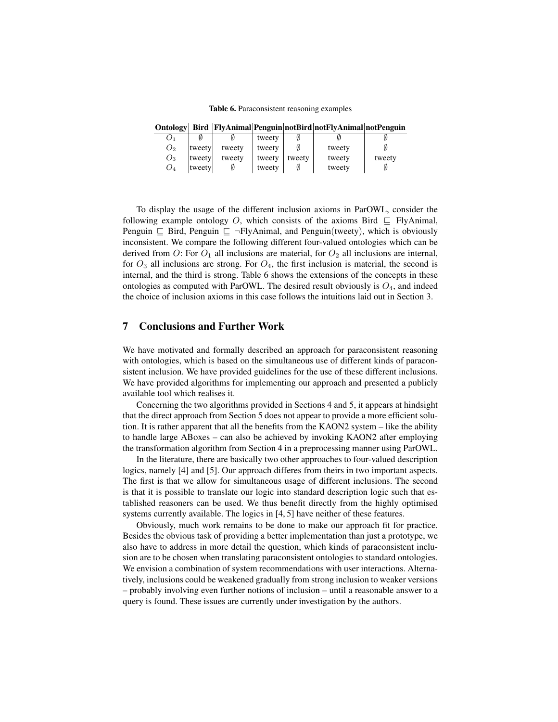Table 6. Paraconsistent reasoning examples

|                |        |        |        |        | Ontology   Bird   FlyAnimal   Penguin   notBird   notFlyAnimal   notPenguin |        |
|----------------|--------|--------|--------|--------|-----------------------------------------------------------------------------|--------|
| $O_1$          |        |        | tweety |        |                                                                             |        |
| O <sub>2</sub> | tweety | tweety | tweety |        | tweety                                                                      |        |
| $O_3$          | tweety | tweety | tweety | tweety | tweety                                                                      | tweety |
| $O_4$          | tweety |        | tweety |        | tweety                                                                      |        |

To display the usage of the different inclusion axioms in ParOWL, consider the following example ontology O, which consists of the axioms Bird  $\subseteq$  FlyAnimal, Penguin  $\subseteq$  Bird, Penguin  $\subseteq \neg FlyAnimal$ , and Penguin(tweety), which is obviously inconsistent. We compare the following different four-valued ontologies which can be derived from O: For  $O_1$  all inclusions are material, for  $O_2$  all inclusions are internal, for  $O_3$  all inclusions are strong. For  $O_4$ , the first inclusion is material, the second is internal, and the third is strong. Table 6 shows the extensions of the concepts in these ontologies as computed with ParOWL. The desired result obviously is  $O_4$ , and indeed the choice of inclusion axioms in this case follows the intuitions laid out in Section 3.

### 7 Conclusions and Further Work

We have motivated and formally described an approach for paraconsistent reasoning with ontologies, which is based on the simultaneous use of different kinds of paraconsistent inclusion. We have provided guidelines for the use of these different inclusions. We have provided algorithms for implementing our approach and presented a publicly available tool which realises it.

Concerning the two algorithms provided in Sections 4 and 5, it appears at hindsight that the direct approach from Section 5 does not appear to provide a more efficient solution. It is rather apparent that all the benefits from the KAON2 system – like the ability to handle large ABoxes – can also be achieved by invoking KAON2 after employing the transformation algorithm from Section 4 in a preprocessing manner using ParOWL.

In the literature, there are basically two other approaches to four-valued description logics, namely [4] and [5]. Our approach differes from theirs in two important aspects. The first is that we allow for simultaneous usage of different inclusions. The second is that it is possible to translate our logic into standard description logic such that established reasoners can be used. We thus benefit directly from the highly optimised systems currently available. The logics in [4, 5] have neither of these features.

Obviously, much work remains to be done to make our approach fit for practice. Besides the obvious task of providing a better implementation than just a prototype, we also have to address in more detail the question, which kinds of paraconsistent inclusion are to be chosen when translating paraconsistent ontologies to standard ontologies. We envision a combination of system recommendations with user interactions. Alternatively, inclusions could be weakened gradually from strong inclusion to weaker versions – probably involving even further notions of inclusion – until a reasonable answer to a query is found. These issues are currently under investigation by the authors.